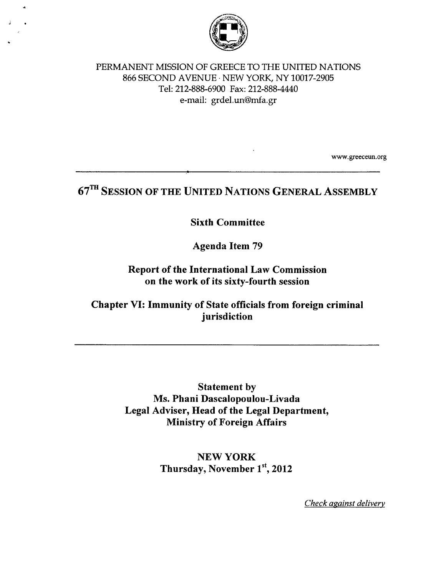

#### PERMANENT MISSION OF GREECE TO THE UNITED NATIONS 866 SECOND AVENUE· NEW YORK, NY 10017-2905 Tel: 212-888-6900 Fax: 212-888-4440 e-mail: grdel.un@mfa.gr

www.greeceun.org

# **67m SESSION OF THE UNITED NATIONS GENERAL ASSEMBLY**

#### **Sixth Committee**

**Agenda Item 79** 

#### **Report of the International Law Commission on the work of its sixty-fourth session**

## **Chapter VI: Immunity of State officials from foreign criminal jurisdiction**

**Statement by Ms. Phani Dascalopoulou-Livada Legal Adviser, Head of the Legal Department, Ministry of Foreign Affairs** 

> **NEWYORK Thursday, November** 1st, **2012**

> > *Check against delivery*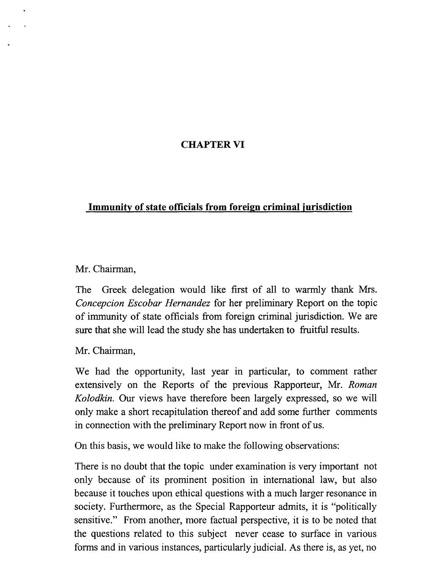# **CHAPTER VI**

# **Immunity of state officials from foreign criminal jurisdiction**

## Mr. Chairman,

The Greek delegation would like first of all to warmly thank Mrs. *Concepcion Escobar Hernandez* for her preliminary Report on the topic of immunity of state officials from foreign criminal jurisdiction. We are sure that she will lead the study she has undertaken to fruitful results.

Mr. Chairman,

We had the opportunity, last year in particular, to comment rather extensively on the Reports of the previous Rapporteur, Mr. *Roman Ko/odkin.* Our views have therefore been largely expressed, so we will only make a short recapitulation thereof and add some further comments in connection with the preliminary Report now in front of us.

On this basis, we would like to make the following observations:

There is no doubt that the topic under examination is very important not only because of its prominent position in international law, but also because it touches upon ethical questions with a much larger resonance in society. Furthermore, as the Special Rapporteur admits, it is "politically sensitive." From another, more factual perspective, it is to be noted that the questions related to this subject never cease to surface in various forms and in various instances, particularly judicial. As there is, as yet, no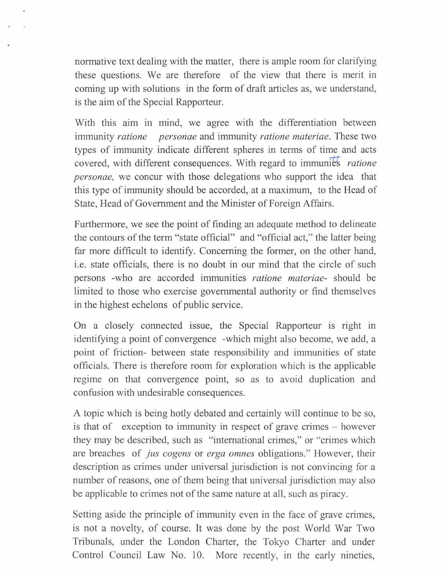normative text dealing with the matter, there is ample room for clarifying these questions. We are therefore of the view that there is merit in coming up with solutions in the form of draft articles as, we understand, is the aim of the Special Rapporteur.

With this aim in mind, we agree with the differentiation between immunity *ratione personae* and immunity *ratione materiae.* These two types of immunity indicate different spheres in terms of time and acts covered, with different consequences. With regard to immunies *ratione personae,* we concur with those delegations who support the idea that this type of immunity should be accorded, at a maximum, to the Head of State, Head of Government and the Minister of Foreign Affairs.

Furthermore, we see the point of finding an adequate method to delineate the contours of the term "state official" and "official act," the latter being far more difficult to identify. Concerning the former, on the other hand, i.e. state officials, there is no doubt in our mind that the circle of such persons -who are accorded immunities *ratione materiae-* should be limited to those who exercise governmental authority or find themselves in the highest echelons of public service.

On a closely connected issue, the Special Rapporteur is right in identifying a point of convergence -which might also become, we add, a point of friction- between state responsibility and immunities of state officials. There is therefore room for exploration which is the applicable regime on that convergence point, so as to avoid duplication and confusion with undesirable consequences.

A topic which is being hotly debated and certainly will continue to be so, is that of exception to immunity in respect of grave crimes – however they may be described, such as "international crimes," or "crimes which are breaches of *jus cogens* or *erga omnes* obligations." However, their description as crimes under universal jurisdiction is not convincing for a number of reasons, one of them being that universal jurisdiction may also be applicable to crimes not of the same nature at all, such as piracy.

Setting aside the principle of immunity even in the face of grave crimes, is not a novelty, of course. It was done by the post World War Two Tribunals, under the London Charter, the Tokyo Charter and under Control Council Law No. 10. More recently, in the early nineties,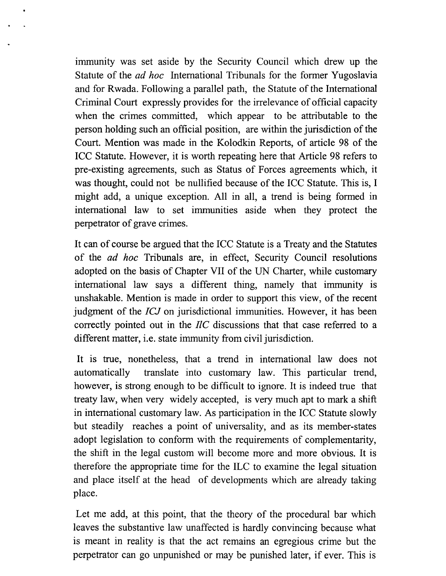immunity was set aside by the Security Council which drew up the Statute of the *ad hoe* International Tribunals for the former Yugoslavia and for Rwada. Following a parallel path, the Statute of the International Criminal Court expressly provides for the irrelevance of official capacity when the crimes committed, which appear to be attributable to the person holding such an official position, are within the jurisdiction of the Court. Mention was made in the Kolodkin Reports, of article 98 of the ICC Statute. However, it is worth repeating here that Article 98 refers to pre-existing agreements, such as Status of Forces agreements which, it was thought, could not be nullified because of the ICC Statute. This is, I might add, a unique exception. All in all, a trend is being formed in international law to set immunities aside when they protect the perpetrator of grave crimes.

It can of course be argued that the ICC Statute is a Treaty and the Statutes of the *ad hoe* Tribunals are, in effect, Security Council resolutions adopted on the basis of Chapter VII of the UN Charter, while customary international law says a different thing, namely that immunity is unshakable. Mention is made in order to support this view, of the recent judgment of the *ICJ* on jurisdictional immunities. However, it has been correctly pointed out in the *I!C* discussions that that case referred to a different matter, i.e. state immunity from civil jurisdiction.

It is true, nonetheless, that a trend in international law does not automatically translate into customary law. This particular trend, however, is strong enough to be difficult to ignore. It is indeed true that treaty law, when very widely accepted, is very much apt to mark a shift in international customary law. As participation in the ICC Statute slowly but steadily reaches a point of universality, and as its member-states adopt legislation to conform with the requirements of complementarity, the shift in the legal custom will become more and more obvious. It is therefore the appropriate time for the ILC to examine the legal situation and place itself at the head of developments which are already taking place.

Let me add, at this point, that the theory of the procedural bar which leaves the substantive law unaffected is hardly convincing because what is meant in reality is that the act remains an egregious crime but the perpetrator can go unpunished or may be punished later, if ever. This is